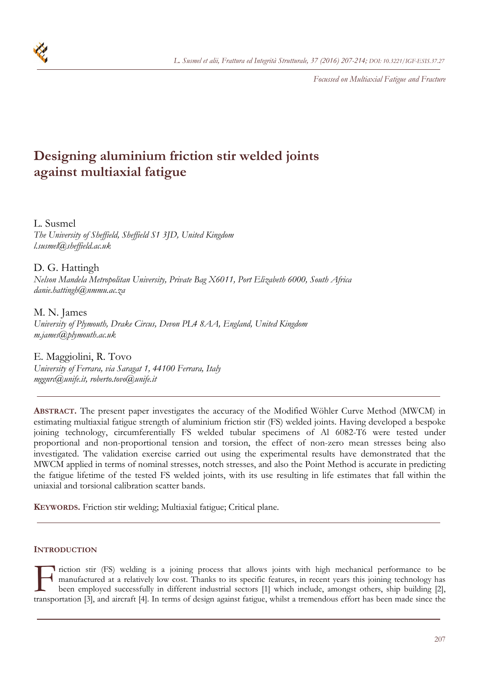

*Focussed on Multiaxial Fatigue and Fracture* 

# **Designing aluminium friction stir welded joints against multiaxial fatigue**

L. Susmel *The University of Sheffield, Sheffield S1 3JD, United Kingdom l.susmel@sheffield.ac.uk* 

D. G. Hattingh *Nelson Mandela Metropolitan University, Private Bag X6011, Port Elizabeth 6000, South Africa danie.hattingh@nmmu.ac.za* 

M. N. James *University of Plymouth, Drake Circus, Devon PL4 8AA, England, United Kingdom m.james@plymouth.ac.uk* 

E. Maggiolini, R. Tovo *University of Ferrara, via Saragat 1, 44100 Ferrara, Italy mggnrc@unife.it, roberto.tovo@unife.it* 

**ABSTRACT.** The present paper investigates the accuracy of the Modified Wöhler Curve Method (MWCM) in estimating multiaxial fatigue strength of aluminium friction stir (FS) welded joints. Having developed a bespoke joining technology, circumferentially FS welded tubular specimens of Al 6082-T6 were tested under proportional and non-proportional tension and torsion, the effect of non-zero mean stresses being also investigated. The validation exercise carried out using the experimental results have demonstrated that the MWCM applied in terms of nominal stresses, notch stresses, and also the Point Method is accurate in predicting the fatigue lifetime of the tested FS welded joints, with its use resulting in life estimates that fall within the uniaxial and torsional calibration scatter bands.

**KEYWORDS.** Friction stir welding; Multiaxial fatigue; Critical plane.

# **INTRODUCTION**

I riction stir (FS) welding is a joining process that allows joints with high mechanical performance to be manufactured at a relatively low cost. Thanks to its specific features, in recent years this joining technology has been employed successfully in different industrial sectors [1] which include, amongst others, ship building [2], Triction stir (FS) welding is a joining process that allows joints with high mechanical performance to be manufactured at a relatively low cost. Thanks to its specific features, in recent years this joining technology has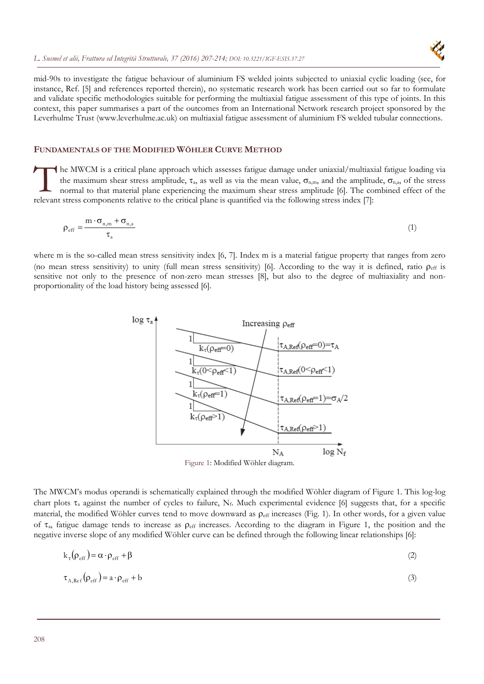

mid-90s to investigate the fatigue behaviour of aluminium FS welded joints subjected to uniaxial cyclic loading (see, for instance, Ref. [5] and references reported therein), no systematic research work has been carried out so far to formulate and validate specific methodologies suitable for performing the multiaxial fatigue assessment of this type of joints. In this context, this paper summarises a part of the outcomes from an International Network research project sponsored by the Leverhulme Trust (www.leverhulme.ac.uk) on multiaxial fatigue assessment of aluminium FS welded tubular connections.

## **FUNDAMENTALS OF THE MODIFIED WÖHLER CURVE METHOD**

he MWCM is a critical plane approach which assesses fatigue damage under uniaxial/multiaxial fatigue loading via the maximum shear stress amplitude,  $\tau_a$ , as well as via the mean value,  $\sigma_{n,m}$ , and the amplitude,  $\sigma_{n,a}$ , of the stress normal to that material plane experiencing the maximum shear stress amplitude [6]. The combined effect of the The MWCM is a critical plane approach which assesses fatigue damage under uniaxial/multiaxi<br>the maximum shear stress amplitude,  $\tau_a$ , as well as via the mean value,  $\sigma_{n,m}$ , and the amplitu<br>normal to that material plane

$$
\rho_{\rm eff} = \frac{m \cdot \sigma_{\rm n,m} + \sigma_{\rm n,a}}{\tau_{\rm a}}
$$
 (1)

where m is the so-called mean stress sensitivity index [6, 7]. Index m is a material fatigue property that ranges from zero (no mean stress sensitivity) to unity (full mean stress sensitivity) [6]. According to the way it is defined, ratio  $\rho_{\text{eff}}$  is sensitive not only to the presence of non-zero mean stresses [8], but also to the degree of multiaxiality and nonproportionality of the load history being assessed [6].



Figure 1: Modified Wöhler diagram.

The MWCM's modus operandi is schematically explained through the modified Wöhler diagram of Figure 1. This log-log chart plots  $\tau_a$  against the number of cycles to failure,  $N_f$ . Much experimental evidence [6] suggests that, for a specific material, the modified Wöhler curves tend to move downward as  $\rho_{\text{eff}}$  increases (Fig. 1). In other words, for a given value of  $\tau_a$ , fatigue damage tends to increase as  $\rho_{\text{eff}}$  increases. According to the diagram in Figure 1, the position and the negative inverse slope of any modified Wöhler curve can be defined through the following linear relationships [6]:

$$
k_{\tau}(\rho_{eff}) = \alpha \cdot \rho_{eff} + \beta \tag{2}
$$

$$
\tau_{A, \text{Ref}}\left(\rho_{\text{eff}}\right) = a \cdot \rho_{\text{eff}} + b \tag{3}
$$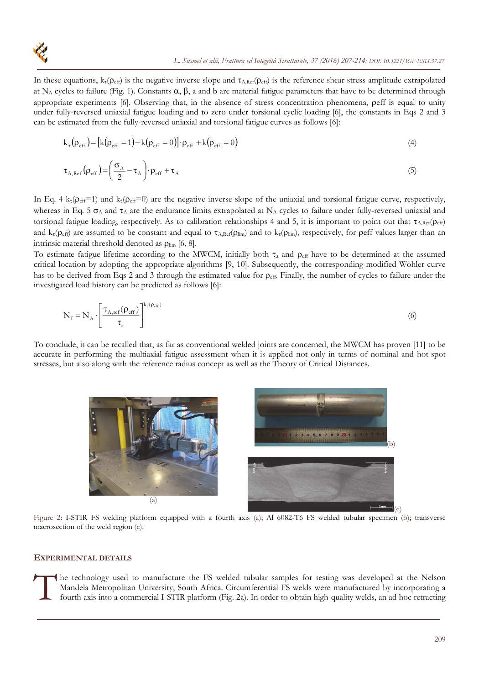

In these equations,  $k_{\tau}(\rho_{\text{eff}})$  is the negative inverse slope and  $\tau_{A,Ref}(\rho_{\text{eff}})$  is the reference shear stress amplitude extrapolated at N<sub>A</sub> cycles to failure (Fig. 1). Constants  $\alpha$ ,  $\beta$ , a and b are material fatigue parameters that have to be determined through appropriate experiments [6]. Observing that, in the absence of stress concentration phenomena, peff is equal to unity under fully-reversed uniaxial fatigue loading and to zero under torsional cyclic loading [6], the constants in Eqs 2 and 3 can be estimated from the fully-reversed uniaxial and torsional fatigue curves as follows [6]:

$$
k_{\tau}(\rho_{eff}) = [k(\rho_{eff} = 1) - k(\rho_{eff} = 0)] \cdot \rho_{eff} + k(\rho_{eff} = 0)
$$
\n(4)

$$
\tau_{A,Ref}(\rho_{eff}) = \left(\frac{\sigma_A}{2} - \tau_A\right) \cdot \rho_{eff} + \tau_A \tag{5}
$$

In Eq. 4  $k_t(\rho_{eff}=1)$  and  $k_t(\rho_{eff}=0)$  are the negative inverse slope of the uniaxial and torsional fatigue curve, respectively, whereas in Eq. 5  $\sigma_A$  and  $\tau_A$  are the endurance limits extrapolated at N<sub>A</sub> cycles to failure under fully-reversed uniaxial and torsional fatigue loading, respectively. As to calibration relationships 4 and 5, it is important to point out that  $\tau_{A,Ref}(p_{eff})$ and  $k_{\tau}(\rho_{\text{eff}})$  are assumed to be constant and equal to  $\tau_{A,\text{Ref}}(\rho_{\text{lim}})$  and to  $k_{\tau}(\rho_{\text{lim}})$ , respectively, for peff values larger than an intrinsic material threshold denoted as  $\rho_{\text{lim}}$  [6, 8].

To estimate fatigue lifetime according to the MWCM, initially both  $\tau_a$  and  $\rho_{\text{eff}}$  have to be determined at the assumed critical location by adopting the appropriate algorithms [9, 10]. Subsequently, the corresponding modified Wöhler curve has to be derived from Eqs 2 and 3 through the estimated value for  $\rho_{\text{eff}}$ . Finally, the number of cycles to failure under the investigated load history can be predicted as follows [6]:

$$
N_{f} = N_{A} \cdot \left[ \frac{\tau_{A,ref}(\rho_{eff})}{\tau_{a}} \right]^{k_{t}(\rho_{eff})}
$$
(6)

To conclude, it can be recalled that, as far as conventional welded joints are concerned, the MWCM has proven [11] to be accurate in performing the multiaxial fatigue assessment when it is applied not only in terms of nominal and hot-spot stresses, but also along with the reference radius concept as well as the Theory of Critical Distances.



Figure 2: I-STIR FS welding platform equipped with a fourth axis (a); Al 6082-T6 FS welded tubular specimen (b); transverse macrosection of the weld region (c).

#### **EXPERIMENTAL DETAILS**

The technology used to manufacture the FS welded tubular samples for testing was developed at the Nelson<br>Mandela Metropolitan University, South Africa. Circumferential FS welds were manufactured by incorporating a<br>fourth a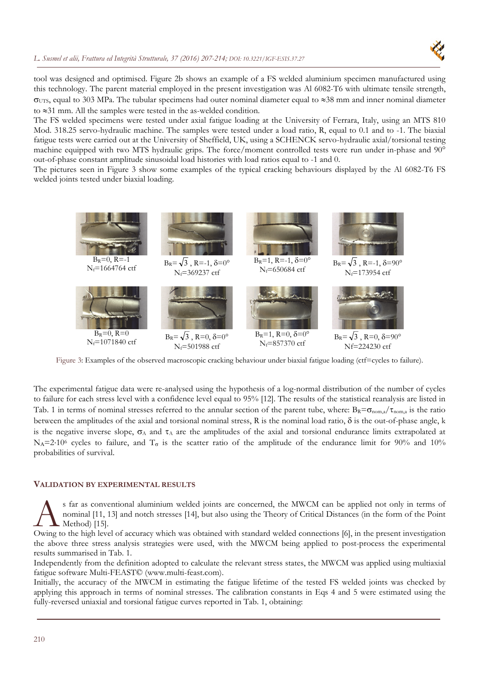

tool was designed and optimised. Figure 2b shows an example of a FS welded aluminium specimen manufactured using this technology. The parent material employed in the present investigation was Al 6082-T6 with ultimate tensile strength,  $\sigma_{UTS}$ , equal to 303 MPa. The tubular specimens had outer nominal diameter equal to  $\approx$ 38 mm and inner nominal diameter to  $\approx$ 31 mm. All the samples were tested in the as-welded condition.

The FS welded specimens were tested under axial fatigue loading at the University of Ferrara, Italy, using an MTS 810 Mod. 318.25 servo-hydraulic machine. The samples were tested under a load ratio, R, equal to 0.1 and to -1. The biaxial fatigue tests were carried out at the University of Sheffield, UK, using a SCHENCK servo-hydraulic axial/torsional testing machine equipped with two MTS hydraulic grips. The force/moment controlled tests were run under in-phase and 90° out-of-phase constant amplitude sinusoidal load histories with load ratios equal to -1 and 0.

The pictures seen in Figure 3 show some examples of the typical cracking behaviours displayed by the Al 6082-T6 FS welded joints tested under biaxial loading.



Figure 3: Examples of the observed macroscopic cracking behaviour under biaxial fatigue loading (ctf=cycles to failure).

The experimental fatigue data were re-analysed using the hypothesis of a log-normal distribution of the number of cycles to failure for each stress level with a confidence level equal to 95% [12]. The results of the statistical reanalysis are listed in Tab. 1 in terms of nominal stresses referred to the annular section of the parent tube, where:  $B_R = \sigma_{\text{nom},a}/\tau_{\text{nom},a}$  is the ratio between the amplitudes of the axial and torsional nominal stress, R is the nominal load ratio,  $\delta$  is the out-of-phase angle, k is the negative inverse slope,  $\sigma_A$  and  $\tau_A$  are the amplitudes of the axial and torsional endurance limits extrapolated at N<sub>A</sub>=2.10<sup>6</sup> cycles to failure, and  $T_{\sigma}$  is the scatter ratio of the amplitude of the endurance limit for 90% and 10% probabilities of survival.

#### **VALIDATION BY EXPERIMENTAL RESULTS**

s far as conventional aluminium welded joints are concerned, the MWCM can be applied not only in terms of nominal [11, 13] and notch stresses [14], but also using the Theory of Critical Distances (in the form of the Point Method) [15]. S far as conventional aluminium welded joints are concerned, the MWCM can be applied not only in terms of nominal [11, 13] and notch stresses [14], but also using the Theory of Critical Distances (in the form of the Point

the above three stress analysis strategies were used, with the MWCM being applied to post-process the experimental results summarised in Tab. 1.

Independently from the definition adopted to calculate the relevant stress states, the MWCM was applied using multiaxial fatigue software Multi-FEAST© (www.multi-feast.com).

Initially, the accuracy of the MWCM in estimating the fatigue lifetime of the tested FS welded joints was checked by applying this approach in terms of nominal stresses. The calibration constants in Eqs 4 and 5 were estimated using the fully-reversed uniaxial and torsional fatigue curves reported in Tab. 1, obtaining: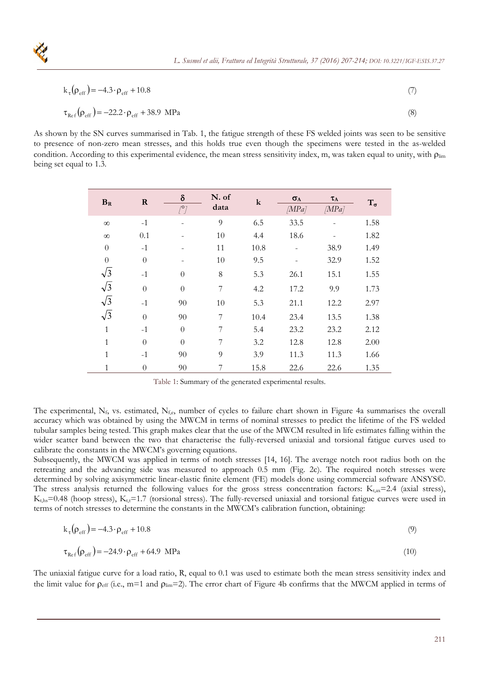

$$
k_{\tau}(\rho_{eff}) = -4.3 \cdot \rho_{eff} + 10.8 \tag{7}
$$

$$
\tau_{\text{Ref}}(\rho_{\text{eff}}) = -22.2 \cdot \rho_{\text{eff}} + 38.9 \text{ MPa}
$$
\n(8)

As shown by the SN curves summarised in Tab. 1, the fatigue strength of these FS welded joints was seen to be sensitive to presence of non-zero mean stresses, and this holds true even though the specimens were tested in the as-welded condition. According to this experimental evidence, the mean stress sensitivity index, m, was taken equal to unity, with  $\rho_{\text{lim}}$ being set equal to 1.3.

| $B_R$        | $\bf{R}$         | $\delta$<br>$\sqrt{2}$ | N. of<br>data | $\bf k$ | $\sigma_{A}$<br>[MPa] | $\tau_A$<br>[MPa] | $T_{\sigma}$ |
|--------------|------------------|------------------------|---------------|---------|-----------------------|-------------------|--------------|
| $\infty$     | $-1$             |                        | 9             | 6.5     | 33.5                  |                   | 1.58         |
| $\infty$     | 0.1              |                        | 10            | 4.4     | 18.6                  |                   | 1.82         |
| $\theta$     | $-1$             |                        | 11            | 10.8    |                       | 38.9              | 1.49         |
| $\theta$     | $\boldsymbol{0}$ |                        | $10\,$        | 9.5     |                       | 32.9              | 1.52         |
| $\sqrt{3}$   | $-1$             | $\overline{0}$         | 8             | 5.3     | 26.1                  | 15.1              | 1.55         |
| $\sqrt{3}$   | $\boldsymbol{0}$ | $\overline{0}$         | 7             | 4.2     | 17.2                  | 9.9               | 1.73         |
| $\sqrt{3}$   | $-1$             | 90                     | 10            | 5.3     | 21.1                  | 12.2              | 2.97         |
| $\sqrt{3}$   | $\theta$         | 90                     | 7             | 10.4    | 23.4                  | 13.5              | 1.38         |
| $\mathbf{1}$ | $-1$             | $\theta$               | 7             | 5.4     | 23.2                  | 23.2              | 2.12         |
| $\mathbf{1}$ | $\theta$         | $\theta$               | 7             | 3.2     | 12.8                  | 12.8              | 2.00         |
| $\mathbf{1}$ | $-1$             | $90\,$                 | 9             | 3.9     | 11.3                  | 11.3              | 1.66         |
| 1            | $\overline{0}$   | 90                     | 7             | 15.8    | 22.6                  | 22.6              | 1.35         |

Table 1: Summary of the generated experimental results.

The experimental,  $N_f$ , vs. estimated,  $N_{f,e}$ , number of cycles to failure chart shown in Figure 4a summarises the overall accuracy which was obtained by using the MWCM in terms of nominal stresses to predict the lifetime of the FS welded tubular samples being tested. This graph makes clear that the use of the MWCM resulted in life estimates falling within the wider scatter band between the two that characterise the fully-reversed uniaxial and torsional fatigue curves used to calibrate the constants in the MWCM's governing equations.

Subsequently, the MWCM was applied in terms of notch stresses [14, 16]. The average notch root radius both on the retreating and the advancing side was measured to approach 0.5 mm (Fig. 2c). The required notch stresses were determined by solving axisymmetric linear-elastic finite element (FE) models done using commercial software ANSYS©. The stress analysis returned the following values for the gross stress concentration factors:  $K_{\text{tax}}=2.4$  (axial stress),  $K_{ths}=0.48$  (hoop stress),  $K_{tt}=1.7$  (torsional stress). The fully-reversed uniaxial and torsional fatigue curves were used in terms of notch stresses to determine the constants in the MWCM's calibration function, obtaining:

$$
k_{\tau}(\rho_{\rm eff}) = -4.3 \cdot \rho_{\rm eff} + 10.8 \tag{9}
$$

$$
\tau_{\text{Ref}}(\rho_{\text{eff}}) = -24.9 \cdot \rho_{\text{eff}} + 64.9 \text{ MPa}
$$
\n(10)

The uniaxial fatigue curve for a load ratio, R, equal to 0.1 was used to estimate both the mean stress sensitivity index and the limit value for  $\rho_{\rm eff}$  (i.e., m=1 and  $\rho_{\rm lim}$ =2). The error chart of Figure 4b confirms that the MWCM applied in terms of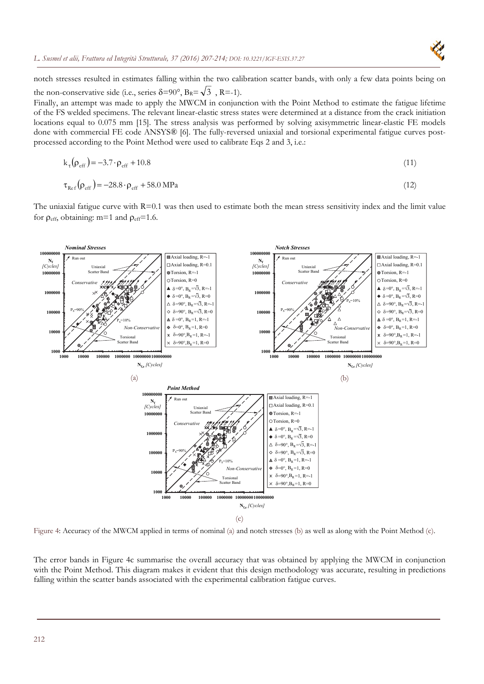

notch stresses resulted in estimates falling within the two calibration scatter bands, with only a few data points being on the non-conservative side (i.e., series  $\delta = 90^\circ$ ,  $B_R = \sqrt{3}$ , R=-1).

Finally, an attempt was made to apply the MWCM in conjunction with the Point Method to estimate the fatigue lifetime of the FS welded specimens. The relevant linear-elastic stress states were determined at a distance from the crack initiation locations equal to 0.075 mm [15]. The stress analysis was performed by solving axisymmetric linear-elastic FE models done with commercial FE code ANSYS® [6]. The fully-reversed uniaxial and torsional experimental fatigue curves postprocessed according to the Point Method were used to calibrate Eqs 2 and 3, i.e.:

$$
k_{\tau}(\rho_{eff}) = -3.7 \cdot \rho_{eff} + 10.8 \tag{11}
$$

$$
\tau_{\text{Ref}}(\rho_{\text{eff}}) = -28.8 \cdot \rho_{\text{eff}} + 58.0 \text{ MPa}
$$
\n
$$
(12)
$$

The uniaxial fatigue curve with R=0.1 was then used to estimate both the mean stress sensitivity index and the limit value for  $\rho_{\text{eff}}$ , obtaining: m=1 and  $\rho_{\text{eff}}$ =1.6.



Figure 4: Accuracy of the MWCM applied in terms of nominal (a) and notch stresses (b) as well as along with the Point Method (c).

The error bands in Figure 4c summarise the overall accuracy that was obtained by applying the MWCM in conjunction with the Point Method. This diagram makes it evident that this design methodology was accurate, resulting in predictions falling within the scatter bands associated with the experimental calibration fatigue curves.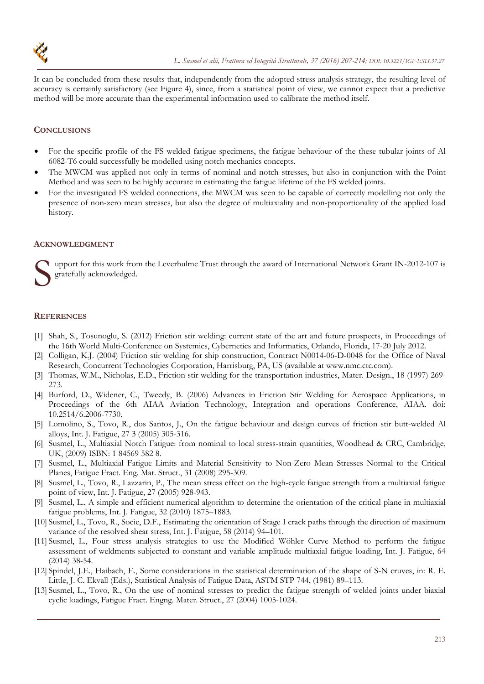

It can be concluded from these results that, independently from the adopted stress analysis strategy, the resulting level of accuracy is certainly satisfactory (see Figure 4), since, from a statistical point of view, we cannot expect that a predictive method will be more accurate than the experimental information used to calibrate the method itself.

## **CONCLUSIONS**

- For the specific profile of the FS welded fatigue specimens, the fatigue behaviour of the these tubular joints of Al 6082-T6 could successfully be modelled using notch mechanics concepts.
- The MWCM was applied not only in terms of nominal and notch stresses, but also in conjunction with the Point Method and was seen to be highly accurate in estimating the fatigue lifetime of the FS welded joints.
- For the investigated FS welded connections, the MWCM was seen to be capable of correctly modelling not only the presence of non-zero mean stresses, but also the degree of multiaxiality and non-proportionality of the applied load history.

### **ACKNOWLEDGMENT**

upport for this work from the Leverhulme Trust through the award of International Network Grant IN-2012-107 is gratefully acknowledged. S or

#### **REFERENCES**

- [1] Shah, S., Tosunoglu, S. (2012) Friction stir welding: current state of the art and future prospects, in Proceedings of the 16th World Multi-Conference on Systemics, Cybernetics and Informatics, Orlando, Florida, 17-20 July 2012.
- [2] Colligan, K.J. (2004) Friction stir welding for ship construction, Contract N0014-06-D-0048 for the Office of Naval Research, Concurrent Technologies Corporation, Harrisburg, PA, US (available at www.nmc.ctc.com).
- [3] Thomas, W.M., Nicholas, E.D., Friction stir welding for the transportation industries, Mater. Design., 18 (1997) 269- 273.
- [4] Burford, D., Widener, C., Tweedy, B. (2006) Advances in Friction Stir Welding for Aerospace Applications, in Proceedings of the 6th AIAA Aviation Technology, Integration and operations Conference, AIAA. doi: 10.2514/6.2006-7730.
- [5] Lomolino, S., Tovo, R., dos Santos, J., On the fatigue behaviour and design curves of friction stir butt-welded Al alloys, Int. J. Fatigue, 27 3 (2005) 305-316.
- [6] Susmel, L., Multiaxial Notch Fatigue: from nominal to local stress-strain quantities, Woodhead & CRC, Cambridge, UK, (2009) ISBN: 1 84569 582 8.
- [7] Susmel, L., Multiaxial Fatigue Limits and Material Sensitivity to Non-Zero Mean Stresses Normal to the Critical Planes, Fatigue Fract. Eng. Mat. Struct., 31 (2008) 295-309.
- [8] Susmel, L., Tovo, R., Lazzarin, P., The mean stress effect on the high-cycle fatigue strength from a multiaxial fatigue point of view, Int. J. Fatigue, 27 (2005) 928-943.
- [9] Susmel, L., A simple and efficient numerical algorithm to determine the orientation of the critical plane in multiaxial fatigue problems, Int. J. Fatigue, 32 (2010) 1875–1883.
- [10] Susmel, L., Tovo, R., Socie, D.F., Estimating the orientation of Stage I crack paths through the direction of maximum variance of the resolved shear stress, Int. J. Fatigue, 58 (2014) 94–101.
- [11] Susmel, L., Four stress analysis strategies to use the Modified Wöhler Curve Method to perform the fatigue assessment of weldments subjected to constant and variable amplitude multiaxial fatigue loading, Int. J. Fatigue, 64 (2014) 38-54.
- [12] Spindel, J.E., Haibach, E., Some considerations in the statistical determination of the shape of S-N cruves, in: R. E. Little, J. C. Ekvall (Eds.), Statistical Analysis of Fatigue Data, ASTM STP 744, (1981) 89–113.
- [13] Susmel, L., Tovo, R., On the use of nominal stresses to predict the fatigue strength of welded joints under biaxial cyclic loadings, Fatigue Fract. Engng. Mater. Struct., 27 (2004) 1005-1024.